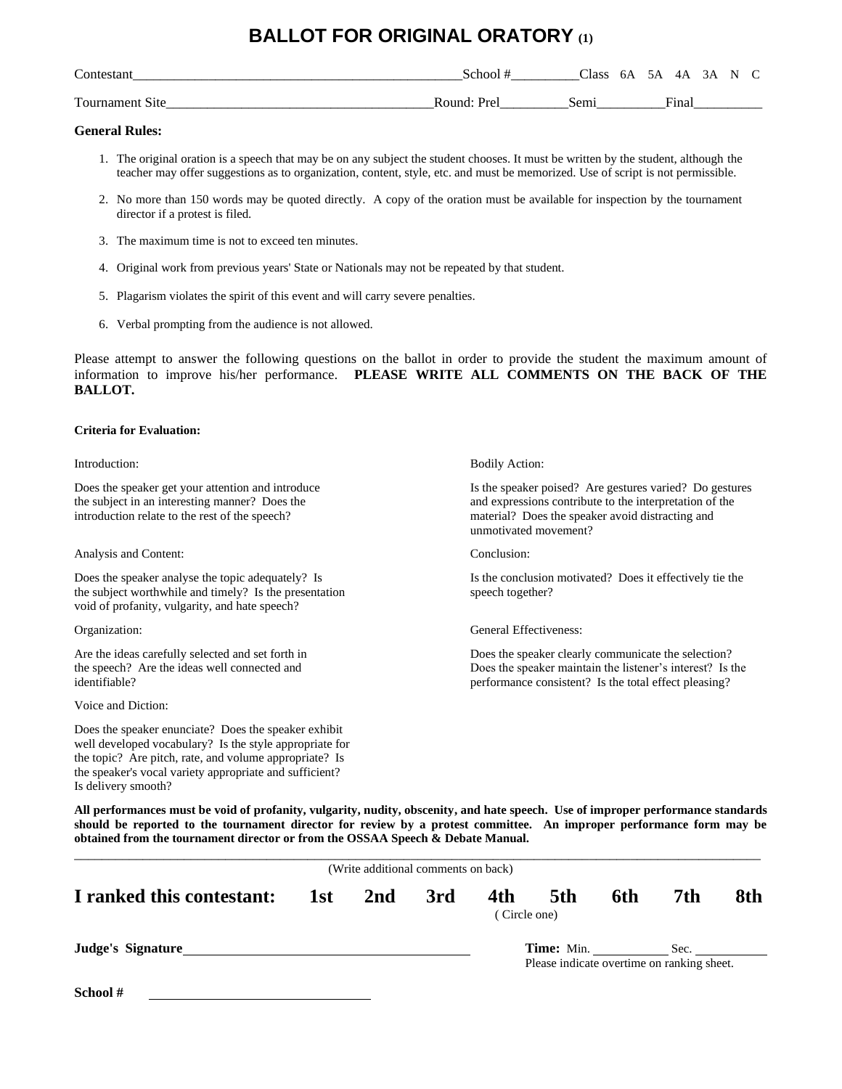### **BALLOT FOR ORIGINAL ORATORY (1)**

| $\sim$<br>`ontestan<br>stan        | ;chool                | Class           | 6А<br>$\sim$ $\sim$ | 5Α | 4Α                     | 3 Α | N |  |
|------------------------------------|-----------------------|-----------------|---------------------|----|------------------------|-----|---|--|
| $\mathbf{r}$<br>Fournament<br>N1te | ≀ound<br>$v_{\alpha}$ | $\sim \Delta r$ |                     |    | $\blacksquare$<br>Hnal |     |   |  |

#### **General Rules:**

- 1. The original oration is a speech that may be on any subject the student chooses. It must be written by the student, although the teacher may offer suggestions as to organization, content, style, etc. and must be memorized. Use of script is not permissible.
- 2. No more than 150 words may be quoted directly. A copy of the oration must be available for inspection by the tournament director if a protest is filed.
- 3. The maximum time is not to exceed ten minutes.
- 4. Original work from previous years' State or Nationals may not be repeated by that student.
- 5. Plagarism violates the spirit of this event and will carry severe penalties.
- 6. Verbal prompting from the audience is not allowed.

Please attempt to answer the following questions on the ballot in order to provide the student the maximum amount of information to improve his/her performance. **PLEASE WRITE ALL COMMENTS ON THE BACK OF THE BALLOT.**

#### **Criteria for Evaluation:**

introduction relate to the rest of the speech? material? Does the speaker avoid distracting and

Analysis and Content: Conclusion: Conclusion:

the subject worthwhile and timely? Is the presentation speech together? void of profanity, vulgarity, and hate speech?

Voice and Diction:

Does the speaker enunciate? Does the speaker exhibit well developed vocabulary? Is the style appropriate for the topic? Are pitch, rate, and volume appropriate? Is the speaker's vocal variety appropriate and sufficient? Is delivery smooth?

Introduction: Bodily Action:

Does the speaker get your attention and introduce Is the speaker poised? Are gestures varied? Do gestures the subject in an interesting manner? Does the and expressions contribute to the interpretation of the unmotivated movement?

Does the speaker analyse the topic adequately? Is Is the conclusion motivated? Does it effectively tie the

Organization: General Effectiveness:

Are the ideas carefully selected and set forth in Does the speaker clearly communicate the selection? the speech? Are the ideas well connected and Does the speaker maintain the listener's interest? Is the identifiable? performance consistent? Is the total effect pleasing?

| 5th<br>6th | 7th          | 8th                                        |
|------------|--------------|--------------------------------------------|
|            |              |                                            |
|            | (Circle one) | Please indicate overtime on ranking sheet. |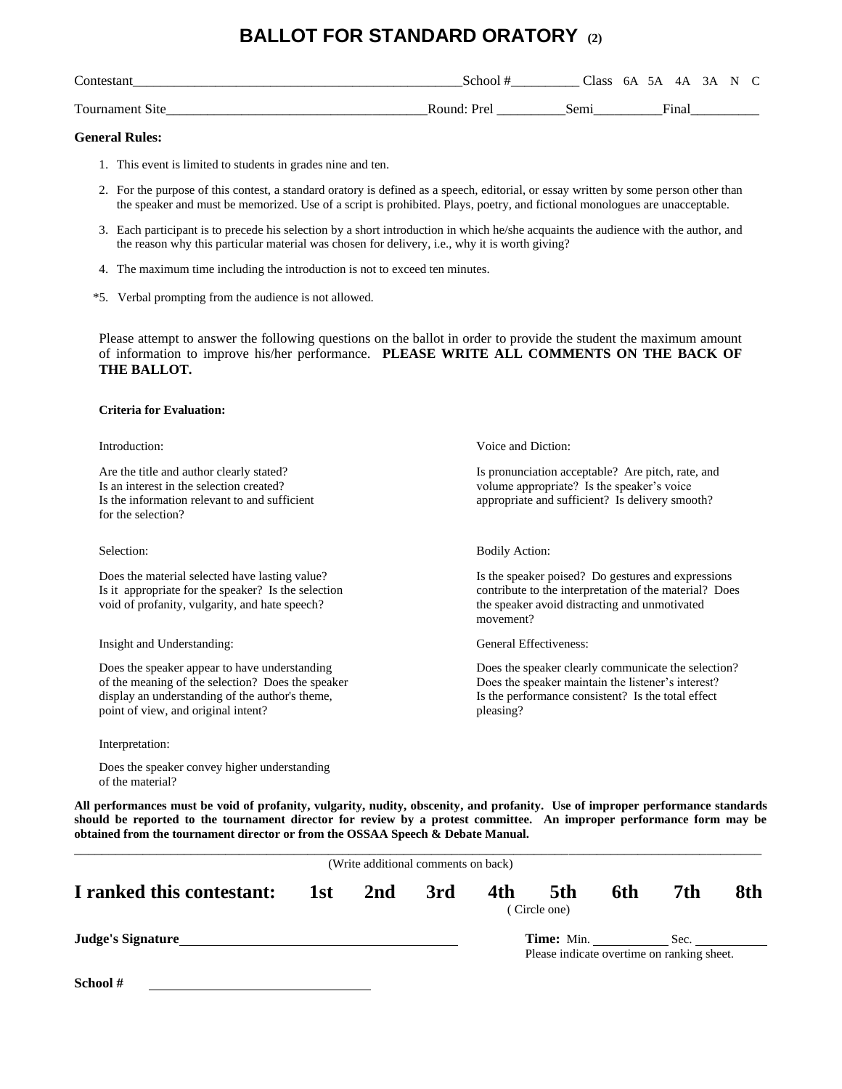### **BALLOT FOR STANDARD ORATORY (2)**

| Contes.   | ∖choo        | lass | 5A<br>6A                     | 3A<br>4A | N | $\sim$ |
|-----------|--------------|------|------------------------------|----------|---|--------|
| Tournamen | Round<br>⊵re | Sem  | $\overline{\mathbf{q}}$ inar |          |   |        |

#### **General Rules:**

- 1. This event is limited to students in grades nine and ten.
- 2. For the purpose of this contest, a standard oratory is defined as a speech, editorial, or essay written by some person other than the speaker and must be memorized. Use of a script is prohibited. Plays, poetry, and fictional monologues are unacceptable.
- 3. Each participant is to precede his selection by a short introduction in which he/she acquaints the audience with the author, and the reason why this particular material was chosen for delivery, i.e., why it is worth giving?
- 4. The maximum time including the introduction is not to exceed ten minutes.
- \*5. Verbal prompting from the audience is not allowed.

Please attempt to answer the following questions on the ballot in order to provide the student the maximum amount of information to improve his/her performance. **PLEASE WRITE ALL COMMENTS ON THE BACK OF THE BALLOT.**

#### **Criteria for Evaluation:**

| Introduction:                                                                                                                                                                                | Voice and Diction:                                                                                                                                                           |
|----------------------------------------------------------------------------------------------------------------------------------------------------------------------------------------------|------------------------------------------------------------------------------------------------------------------------------------------------------------------------------|
| Are the title and author clearly stated?<br>Is an interest in the selection created?<br>Is the information relevant to and sufficient<br>for the selection?                                  | Is pronunciation acceptable? Are pitch, rate, and<br>volume appropriate? Is the speaker's voice<br>appropriate and sufficient? Is delivery smooth?                           |
| Selection:                                                                                                                                                                                   | <b>Bodily Action:</b>                                                                                                                                                        |
| Does the material selected have lasting value?<br>Is it appropriate for the speaker? Is the selection<br>void of profanity, vulgarity, and hate speech?                                      | Is the speaker poised? Do gestures and expressions<br>contribute to the interpretation of the material? Does<br>the speaker avoid distracting and unmotivated<br>movement?   |
| Insight and Understanding:                                                                                                                                                                   | General Effectiveness:                                                                                                                                                       |
| Does the speaker appear to have understanding<br>of the meaning of the selection? Does the speaker<br>display an understanding of the author's theme,<br>point of view, and original intent? | Does the speaker clearly communicate the selection?<br>Does the speaker maintain the listener's interest?<br>Is the performance consistent? Is the total effect<br>pleasing? |

Interpretation:

Does the speaker convey higher understanding of the material?

| 7th<br>I ranked this contestant:<br>1st 2nd<br>4th<br>6th<br>3rd<br>5th<br>(Circle one) | 8th  |
|-----------------------------------------------------------------------------------------|------|
| Please indicate overtime on ranking sheet.                                              | Sec. |
|                                                                                         |      |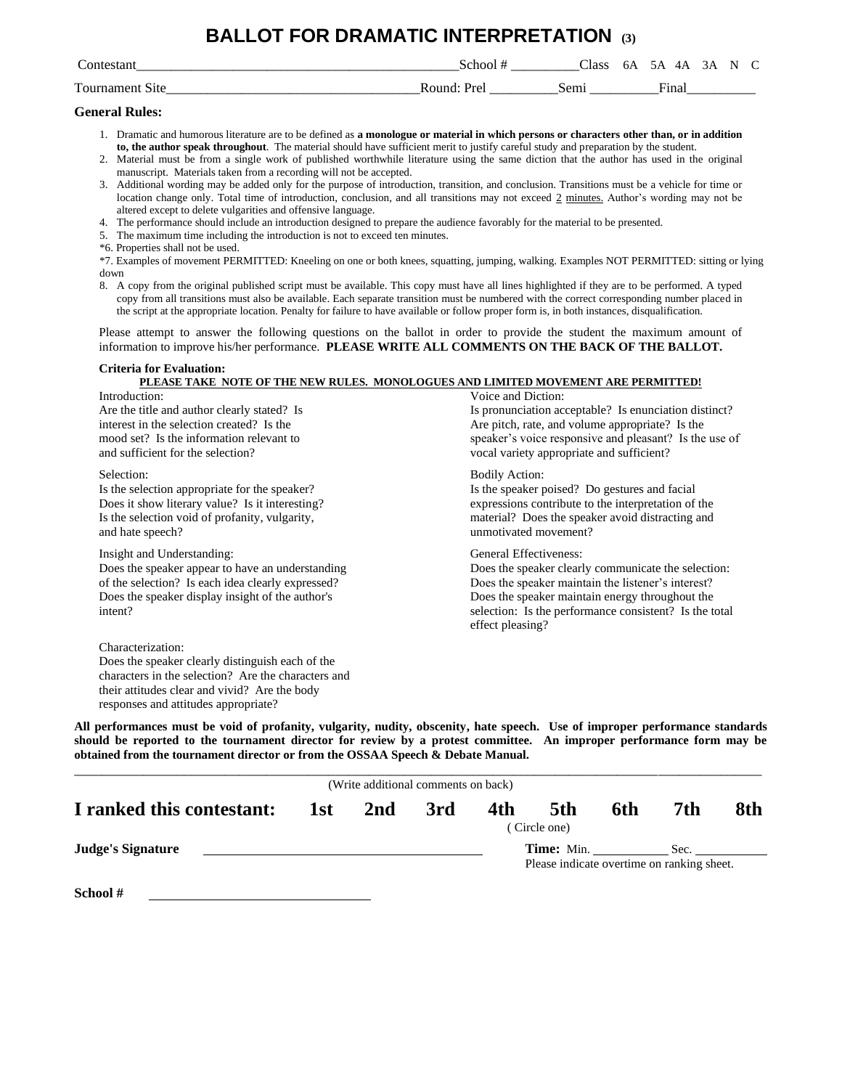### **BALLOT FOR DRAMATIC INTERPRETATION (3)**

| $\sim$<br>contestant            | School          | Class | 6A | 4Α<br>ጎ A                | 3Α | N |  |
|---------------------------------|-----------------|-------|----|--------------------------|----|---|--|
| Tournament<br>S <sub>1</sub> te | Pra<br>- Round∙ | Semi  |    | $\overline{\text{}}$ ina |    |   |  |

#### **General Rules:**

- 1. Dramatic and humorous literature are to be defined as **a monologue or material in which persons or characters other than, or in addition to, the author speak throughout**. The material should have sufficient merit to justify careful study and preparation by the student.
- 2. Material must be from a single work of published worthwhile literature using the same diction that the author has used in the original manuscript. Materials taken from a recording will not be accepted.
- 3. Additional wording may be added only for the purpose of introduction, transition, and conclusion. Transitions must be a vehicle for time or location change only. Total time of introduction, conclusion, and all transitions may not exceed 2 minutes. Author's wording may not be altered except to delete vulgarities and offensive language.
- 4. The performance should include an introduction designed to prepare the audience favorably for the material to be presented.
- 5. The maximum time including the introduction is not to exceed ten minutes.
- \*6. Properties shall not be used.
- \*7. Examples of movement PERMITTED: Kneeling on one or both knees, squatting, jumping, walking. Examples NOT PERMITTED: sitting or lying down
- 8. A copy from the original published script must be available. This copy must have all lines highlighted if they are to be performed. A typed copy from all transitions must also be available. Each separate transition must be numbered with the correct corresponding number placed in the script at the appropriate location. Penalty for failure to have available or follow proper form is, in both instances, disqualification.

Please attempt to answer the following questions on the ballot in order to provide the student the maximum amount of information to improve his/her performance. **PLEASE WRITE ALL COMMENTS ON THE BACK OF THE BALLOT.**

#### **Criteria for Evaluation: PLEASE TAKE NOTE OF THE NEW RULES. MONOLOGUES AND LIMITED MOVEMENT ARE PERMITTED!**

Introduction: Voice and Diction: Are the title and author clearly stated? Is Is is pronunciation acceptable? Is enunciation distinct? interest in the selection created? Is the Are pitch, rate, and volume appropriate? Is the mood set? Is the information relevant to speaker's voice responsive and pleasant? Is the use of and sufficient for the selection? vocal variety appropriate and sufficient? Selection: Bodily Action: Bodily Action: Is the selection appropriate for the speaker? Is the speaker poised? Do gestures and facial Does it show literary value? Is it interesting? expressions contribute to the interpretation of the Is the selection void of profanity, vulgarity, material? Does the speaker avoid distracting and and hate speech? unmotivated movement? Insight and Understanding: General Effectiveness: Does the speaker appear to have an understanding Does the speaker clearly communicate the selection: of the selection? Is each idea clearly expressed? Does the speaker maintain the listener's interest? Does the speaker display insight of the author's Does the speaker maintain energy throughout the intent? selection: Is the performance consistent? Is the total effect pleasing? Characterization: Does the speaker clearly distinguish each of the characters in the selection? Are the characters and their attitudes clear and vivid? Are the body responses and attitudes appropriate?

|                           |     | (Write additional comments on back) |     |     |                                                                 |     |      |     |
|---------------------------|-----|-------------------------------------|-----|-----|-----------------------------------------------------------------|-----|------|-----|
| I ranked this contestant: | 1st | 2nd                                 | 3rd | 4th | 5th<br>(Circle one)                                             | 6th | 7th  | 8th |
| <b>Judge's Signature</b>  |     |                                     |     |     | <b>Time:</b> Min.<br>Please indicate overtime on ranking sheet. |     | Sec. |     |
| - School #                |     |                                     |     |     |                                                                 |     |      |     |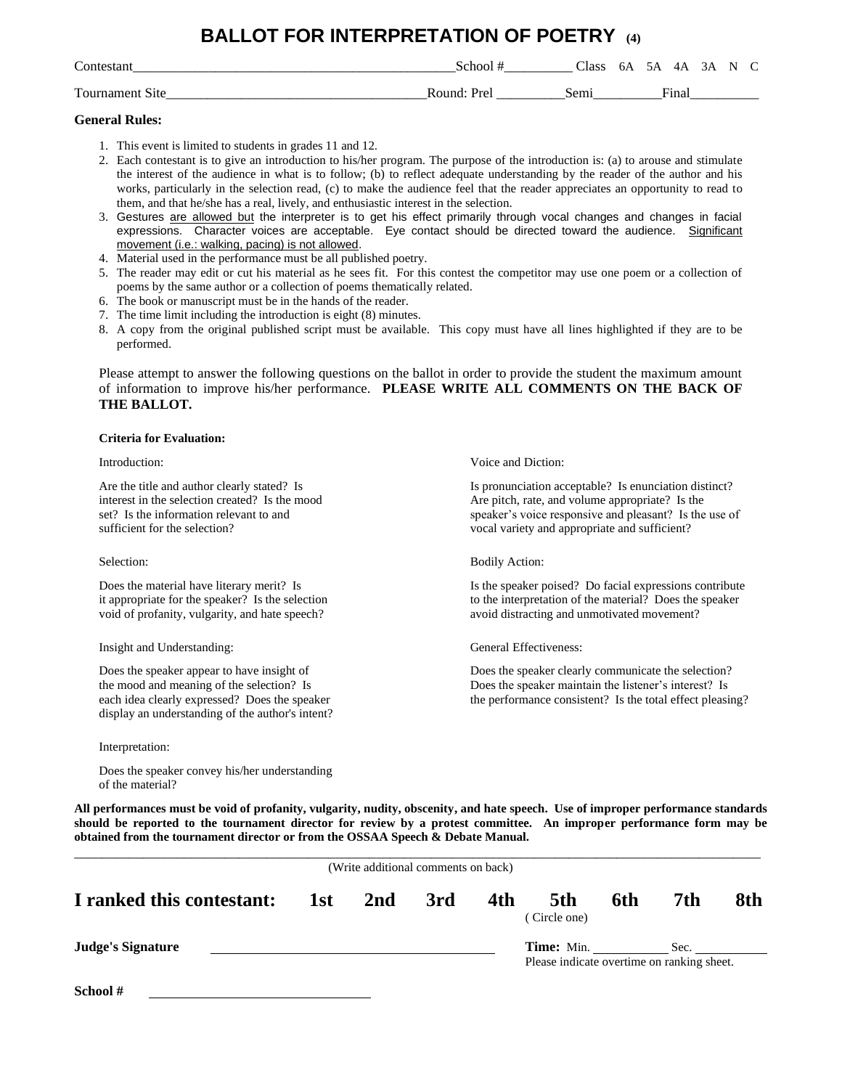### **BALLOT FOR INTERPRETATION OF POETRY (4)**

| Contestan              | School                          | Class | - 6A | 5A 4A 3A N C |       |  |  |
|------------------------|---------------------------------|-------|------|--------------|-------|--|--|
| <b>Tournament Site</b> | $\text{Round} \cdot \text{Pre}$ | sem.  |      |              | Final |  |  |

#### **General Rules:**

- 1. This event is limited to students in grades 11 and 12.
- 2. Each contestant is to give an introduction to his/her program. The purpose of the introduction is: (a) to arouse and stimulate the interest of the audience in what is to follow; (b) to reflect adequate understanding by the reader of the author and his works, particularly in the selection read, (c) to make the audience feel that the reader appreciates an opportunity to read to them, and that he/she has a real, lively, and enthusiastic interest in the selection.
- 3. Gestures are allowed but the interpreter is to get his effect primarily through vocal changes and changes in facial expressions. Character voices are acceptable. Eye contact should be directed toward the audience. Significant movement (i.e.: walking, pacing) is not allowed.
- 4. Material used in the performance must be all published poetry.
- 5. The reader may edit or cut his material as he sees fit. For this contest the competitor may use one poem or a collection of poems by the same author or a collection of poems thematically related.
- 6. The book or manuscript must be in the hands of the reader.
- 7. The time limit including the introduction is eight (8) minutes.
- 8. A copy from the original published script must be available. This copy must have all lines highlighted if they are to be performed.

Please attempt to answer the following questions on the ballot in order to provide the student the maximum amount of information to improve his/her performance. **PLEASE WRITE ALL COMMENTS ON THE BACK OF THE BALLOT.**

#### **Criteria for Evaluation:**

Introduction:  $V$  oice and Diction:

Are the title and author clearly stated? Is Is Is is pronunciation acceptable? Is enunciation distinct? interest in the selection created? Is the mood Are pitch, rate, and volume appropriate? Is the set? Is the information relevant to and speaker's voice responsive and pleasant? Is the use of sufficient for the selection? vocal variety and appropriate and sufficient?

Selection: Bodily Action: Bodily Action:

Does the material have literary merit? Is Is the speaker poised? Do facial expressions contribute it appropriate for the speaker? Is the selection to the interpretation of the material? Does the speaker void of profanity, vulgarity, and hate speech? avoid distracting and unmotivated movement?

Insight and Understanding: General Effectiveness:

Does the speaker appear to have insight of Does the speaker clearly communicate the selection? the mood and meaning of the selection? Is Does the speaker maintain the listener's interest? Is each idea clearly expressed? Does the speaker the performance consistent? Is the total effect pleasing? display an understanding of the author's intent?

Interpretation:

Does the speaker convey his/her understanding of the material?

**All performances must be void of profanity, vulgarity, nudity, obscenity, and hate speech. Use of improper performance standards should be reported to the tournament director for review by a protest committee. An improper performance form may be obtained from the tournament director or from the OSSAA Speech & Debate Manual.**

avoid distracting and unmotivated movement?

|                           |     | (Write additional comments on back) |     |     |                                                                 |     |      |     |
|---------------------------|-----|-------------------------------------|-----|-----|-----------------------------------------------------------------|-----|------|-----|
| I ranked this contestant: | 1st | 2nd                                 | 3rd | 4th | 5th<br>(Circle one)                                             | 6th | 7th  | 8th |
| <b>Judge's Signature</b>  |     |                                     |     |     | <b>Time:</b> Min.<br>Please indicate overtime on ranking sheet. |     | Sec. |     |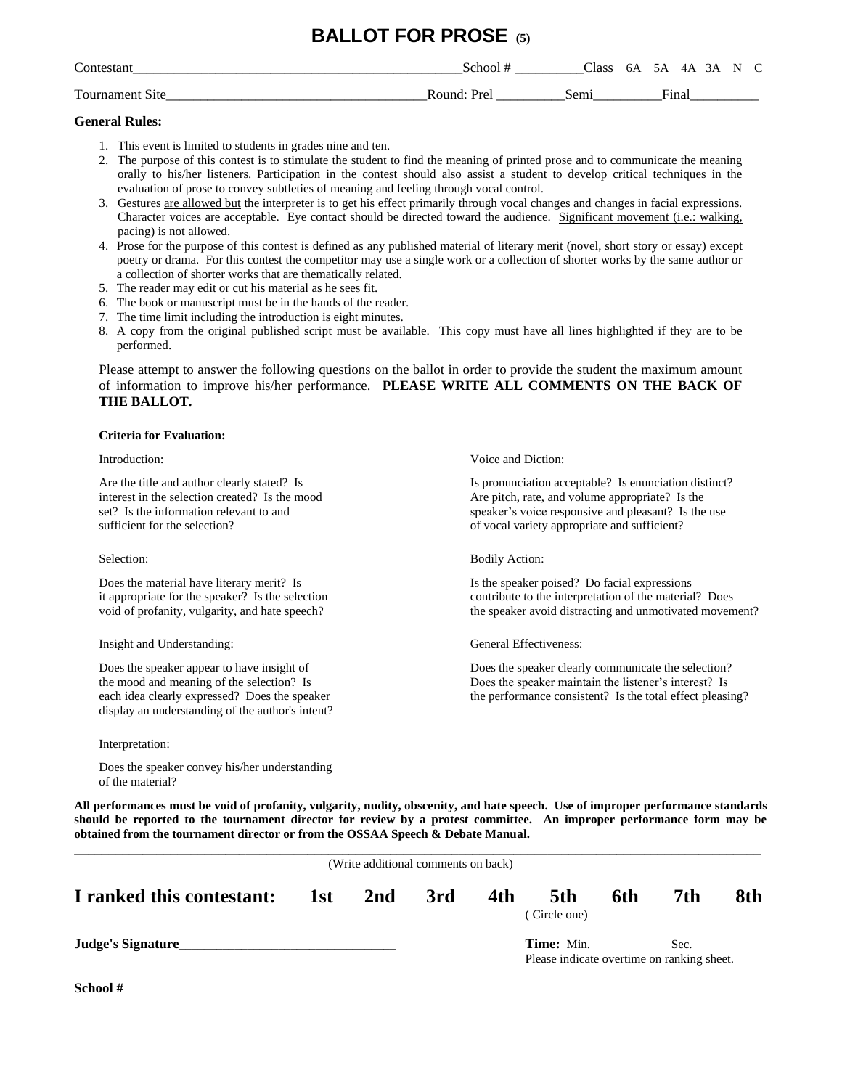### **BALLOT FOR PROSE (5)**

| $\sim$<br>`ontes   | School                    | $\bigcap$ ass | 6A | 5A           | 4Α  | 3 A | N | $\sqrt{ }$ |
|--------------------|---------------------------|---------------|----|--------------|-----|-----|---|------------|
| Tournament<br>Site | Round <sup>.</sup><br>Dr≏ | sem           |    | $\Gamma$ ino | шаі |     |   |            |

### **General Rules:**

- 1. This event is limited to students in grades nine and ten.
- 2. The purpose of this contest is to stimulate the student to find the meaning of printed prose and to communicate the meaning orally to his/her listeners. Participation in the contest should also assist a student to develop critical techniques in the evaluation of prose to convey subtleties of meaning and feeling through vocal control.
- 3. Gestures are allowed but the interpreter is to get his effect primarily through vocal changes and changes in facial expressions. Character voices are acceptable. Eye contact should be directed toward the audience. Significant movement (i.e.: walking, pacing) is not allowed.
- 4. Prose for the purpose of this contest is defined as any published material of literary merit (novel, short story or essay) except poetry or drama. For this contest the competitor may use a single work or a collection of shorter works by the same author or a collection of shorter works that are thematically related.
- 5. The reader may edit or cut his material as he sees fit.
- 6. The book or manuscript must be in the hands of the reader.
- 7. The time limit including the introduction is eight minutes.
- 8. A copy from the original published script must be available. This copy must have all lines highlighted if they are to be performed.

Please attempt to answer the following questions on the ballot in order to provide the student the maximum amount of information to improve his/her performance. **PLEASE WRITE ALL COMMENTS ON THE BACK OF THE BALLOT.**

#### **Criteria for Evaluation:**

sufficient for the selection? of vocal variety appropriate and sufficient?

Does the material have literary merit? Is Is the speaker poised? Do facial expressions

Insight and Understanding: General Effectiveness:

display an understanding of the author's intent?

Interpretation:

Does the speaker convey his/her understanding of the material?

**All performances must be void of profanity, vulgarity, nudity, obscenity, and hate speech. Use of improper performance standards should be reported to the tournament director for review by a protest committee. An improper performance form may be obtained from the tournament director or from the OSSAA Speech & Debate Manual.**

|                           | (Write additional comments on back) |     |     |                                                          |     |      |     |
|---------------------------|-------------------------------------|-----|-----|----------------------------------------------------------|-----|------|-----|
| I ranked this contestant: | 1st 2nd                             | 3rd | 4th | 5th<br>(Circle one)                                      | 6th | 7th  | 8th |
| Judge's Signature         |                                     |     |     | Time: Min.<br>Please indicate overtime on ranking sheet. |     | Sec. |     |
| School#                   |                                     |     |     |                                                          |     |      |     |

Introduction: Voice and Diction:

Are the title and author clearly stated? Is Is Is pronunciation acceptable? Is enunciation distinct? interest in the selection created? Is the mood  $\blacksquare$  Are pitch, rate, and volume appropriate? Is the set? Is the information relevant to and speaker's voice responsive and pleasant? Is the use

Selection: Bodily Action: Bodily Action:

it appropriate for the speaker? Is the selection contribute to the interpretation of the material? Does void of profanity, vulgarity, and hate speech? the speaker avoid distracting and unmotivated movement?

Does the speaker appear to have insight of Does the speaker clearly communicate the selection? the mood and meaning of the selection? Is Does the speaker maintain the listener's interest? Is each idea clearly expressed? Does the speaker the performance consistent? Is the total effect pleasing?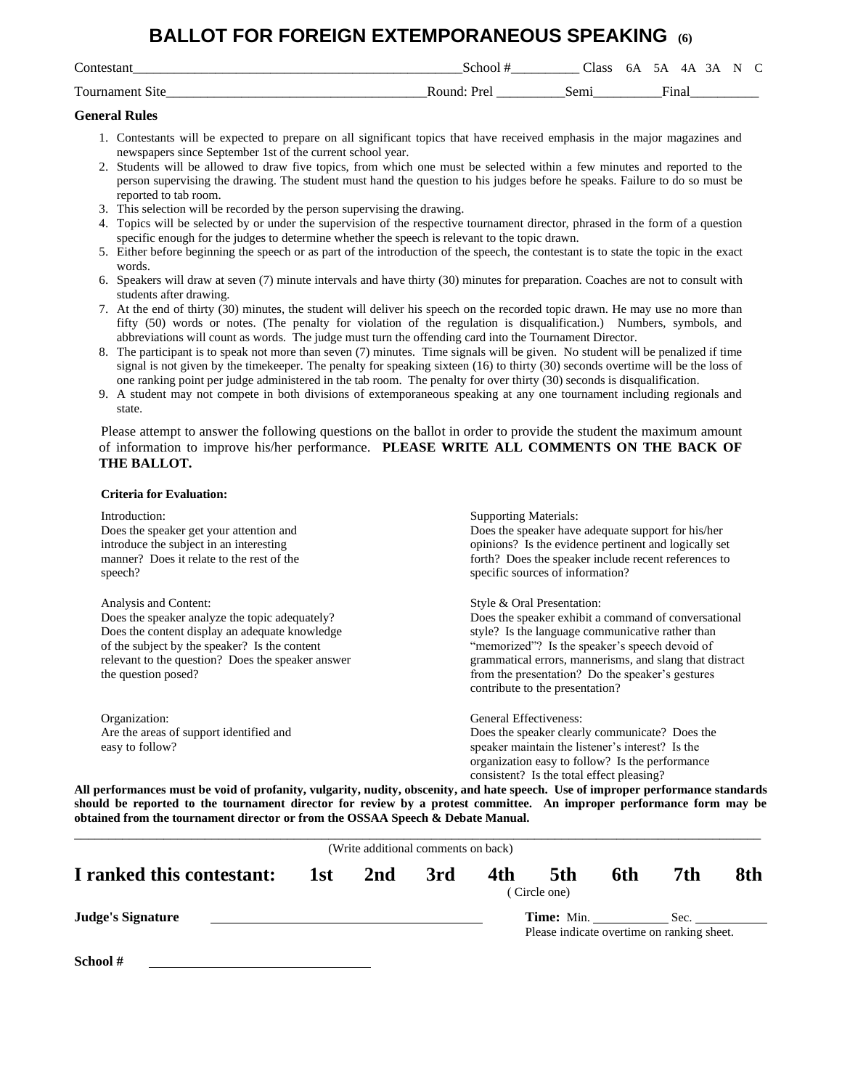### **BALLOT FOR FOREIGN EXTEMPORANEOUS SPEAKING (6)**

| $\sim$<br>`ontestan  | schoe"       | : Lass | 6A<br>$\sim$ | īΔ<br>__            | ΔΔ | ΚА | N |  |
|----------------------|--------------|--------|--------------|---------------------|----|----|---|--|
| Tournament,<br>.Site | Round<br>Pre | Sem    |              | $\overline{q}$ ina. |    |    |   |  |

#### **General Rules**

- 1. Contestants will be expected to prepare on all significant topics that have received emphasis in the major magazines and newspapers since September 1st of the current school year.
- 2. Students will be allowed to draw five topics, from which one must be selected within a few minutes and reported to the person supervising the drawing. The student must hand the question to his judges before he speaks. Failure to do so must be reported to tab room.
- 3. This selection will be recorded by the person supervising the drawing.
- 4. Topics will be selected by or under the supervision of the respective tournament director, phrased in the form of a question specific enough for the judges to determine whether the speech is relevant to the topic drawn.
- 5. Either before beginning the speech or as part of the introduction of the speech, the contestant is to state the topic in the exact words.
- 6. Speakers will draw at seven (7) minute intervals and have thirty (30) minutes for preparation. Coaches are not to consult with students after drawing.
- 7. At the end of thirty (30) minutes, the student will deliver his speech on the recorded topic drawn. He may use no more than fifty (50) words or notes. (The penalty for violation of the regulation is disqualification.) Numbers, symbols, and abbreviations will count as words. The judge must turn the offending card into the Tournament Director.
- 8. The participant is to speak not more than seven (7) minutes. Time signals will be given. No student will be penalized if time signal is not given by the timekeeper. The penalty for speaking sixteen (16) to thirty (30) seconds overtime will be the loss of one ranking point per judge administered in the tab room. The penalty for over thirty (30) seconds is disqualification.
- 9. A student may not compete in both divisions of extemporaneous speaking at any one tournament including regionals and state.

Please attempt to answer the following questions on the ballot in order to provide the student the maximum amount of information to improve his/her performance. **PLEASE WRITE ALL COMMENTS ON THE BACK OF THE BALLOT.**

#### **Criteria for Evaluation:**

| Introduction:<br>Does the speaker get your attention and<br>introduce the subject in an interesting<br>manner? Does it relate to the rest of the<br>speech?                                                                                            | <b>Supporting Materials:</b><br>Does the speaker have adequate support for his/her<br>opinions? Is the evidence pertinent and logically set<br>forth? Does the speaker include recent references to<br>specific sources of information?                                                                                                    |
|--------------------------------------------------------------------------------------------------------------------------------------------------------------------------------------------------------------------------------------------------------|--------------------------------------------------------------------------------------------------------------------------------------------------------------------------------------------------------------------------------------------------------------------------------------------------------------------------------------------|
| Analysis and Content:<br>Does the speaker analyze the topic adequately?<br>Does the content display an adequate knowledge<br>of the subject by the speaker? Is the content<br>relevant to the question? Does the speaker answer<br>the question posed? | Style & Oral Presentation:<br>Does the speaker exhibit a command of conversational<br>style? Is the language communicative rather than<br>"memorized"? Is the speaker's speech devoid of<br>grammatical errors, mannerisms, and slang that distract<br>from the presentation? Do the speaker's gestures<br>contribute to the presentation? |
| Organization:<br>Are the areas of support identified and<br>easy to follow?                                                                                                                                                                            | General Effectiveness:<br>Does the speaker clearly communicate? Does the<br>speaker maintain the listener's interest? Is the<br>organization easy to follow? Is the performance<br>consistent? Is the total effect pleasing?                                                                                                               |

|                           |     | (Write additional comments on back) |     |     |                                                                 |     |      |     |
|---------------------------|-----|-------------------------------------|-----|-----|-----------------------------------------------------------------|-----|------|-----|
| I ranked this contestant: | 1st | 2nd                                 | 3rd | 4th | 5th<br>(Circle one)                                             | 6th | 7th  | 8th |
| <b>Judge's Signature</b>  |     |                                     |     |     | <b>Time:</b> Min.<br>Please indicate overtime on ranking sheet. |     | Sec. |     |
| School #                  |     |                                     |     |     |                                                                 |     |      |     |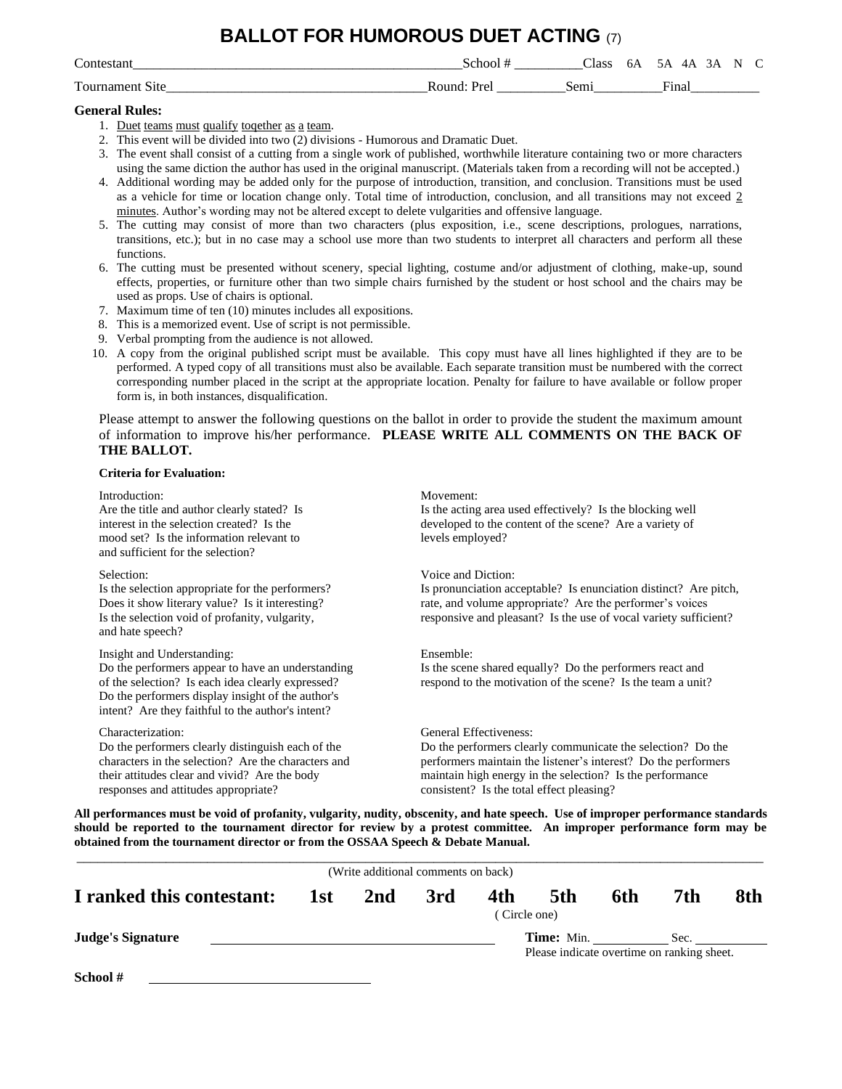### **BALLOT FOR HUMOROUS DUET ACTING** (7)

| $\sim$<br>`on | choc            | $\sim$<br>1000<br>лабб | OΑ | . Д<br>LΔ<br>. .   | - |
|---------------|-----------------|------------------------|----|--------------------|---|
| --<br>. വു    | l Inco<br>'ound | Sem<br>ຼ               |    | ÷-<br>ہ دی ا<br>ша |   |

#### **General Rules:**

- 1. Duet teams must qualify together as a team.
- 2. This event will be divided into two (2) divisions Humorous and Dramatic Duet.

3. The event shall consist of a cutting from a single work of published, worthwhile literature containing two or more characters using the same diction the author has used in the original manuscript. (Materials taken from a recording will not be accepted.)

- 4. Additional wording may be added only for the purpose of introduction, transition, and conclusion. Transitions must be used as a vehicle for time or location change only. Total time of introduction, conclusion, and all transitions may not exceed 2 minutes. Author's wording may not be altered except to delete vulgarities and offensive language.
- 5. The cutting may consist of more than two characters (plus exposition, i.e., scene descriptions, prologues, narrations, transitions, etc.); but in no case may a school use more than two students to interpret all characters and perform all these functions.
- 6. The cutting must be presented without scenery, special lighting, costume and/or adjustment of clothing, make-up, sound effects, properties, or furniture other than two simple chairs furnished by the student or host school and the chairs may be used as props. Use of chairs is optional.
- 7. Maximum time of ten (10) minutes includes all expositions.
- 8. This is a memorized event. Use of script is not permissible.
- 9. Verbal prompting from the audience is not allowed.
- 10. A copy from the original published script must be available. This copy must have all lines highlighted if they are to be performed. A typed copy of all transitions must also be available. Each separate transition must be numbered with the correct corresponding number placed in the script at the appropriate location. Penalty for failure to have available or follow proper form is, in both instances, disqualification.

Please attempt to answer the following questions on the ballot in order to provide the student the maximum amount of information to improve his/her performance. **PLEASE WRITE ALL COMMENTS ON THE BACK OF THE BALLOT.**

#### **Criteria for Evaluation:**

| Introduction:<br>Are the title and author clearly stated? Is<br>interest in the selection created? Is the<br>mood set? Is the information relevant to<br>and sufficient for the selection?                                                     | Movement:<br>Is the acting area used effectively? Is the blocking well<br>developed to the content of the scene? Are a variety of<br>levels employed?                                                                                                             |
|------------------------------------------------------------------------------------------------------------------------------------------------------------------------------------------------------------------------------------------------|-------------------------------------------------------------------------------------------------------------------------------------------------------------------------------------------------------------------------------------------------------------------|
| Selection:<br>Is the selection appropriate for the performers?<br>Does it show literary value? Is it interesting?<br>Is the selection void of profanity, vulgarity,<br>and hate speech?                                                        | Voice and Diction:<br>Is pronunciation acceptable? Is enunciation distinct? Are pitch,<br>rate, and volume appropriate? Are the performer's voices<br>responsive and pleasant? Is the use of vocal variety sufficient?                                            |
| Insight and Understanding:<br>Do the performers appear to have an understanding<br>of the selection? Is each idea clearly expressed?<br>Do the performers display insight of the author's<br>intent? Are they faithful to the author's intent? | Ensemble:<br>Is the scene shared equally? Do the performers react and<br>respond to the motivation of the scene? Is the team a unit?                                                                                                                              |
| Characterization:<br>Do the performers clearly distinguish each of the<br>characters in the selection? Are the characters and<br>their attitudes clear and vivid? Are the body<br>responses and attitudes appropriate?                         | General Effectiveness:<br>Do the performers clearly communicate the selection? Do the<br>performers maintain the listener's interest? Do the performers<br>maintain high energy in the selection? Is the performance<br>consistent? Is the total effect pleasing? |

|                           |     | (Write additional comments on back) |     |                     |                                                               |     |     |     |
|---------------------------|-----|-------------------------------------|-----|---------------------|---------------------------------------------------------------|-----|-----|-----|
| I ranked this contestant: | 1st | 2nd                                 | 3rd | 4th<br>(Circle one) | 5th                                                           | 6th | 7th | 8th |
| <b>Judge's Signature</b>  |     |                                     |     |                     | Time: Min. Sec.<br>Please indicate overtime on ranking sheet. |     |     |     |
| School #                  |     |                                     |     |                     |                                                               |     |     |     |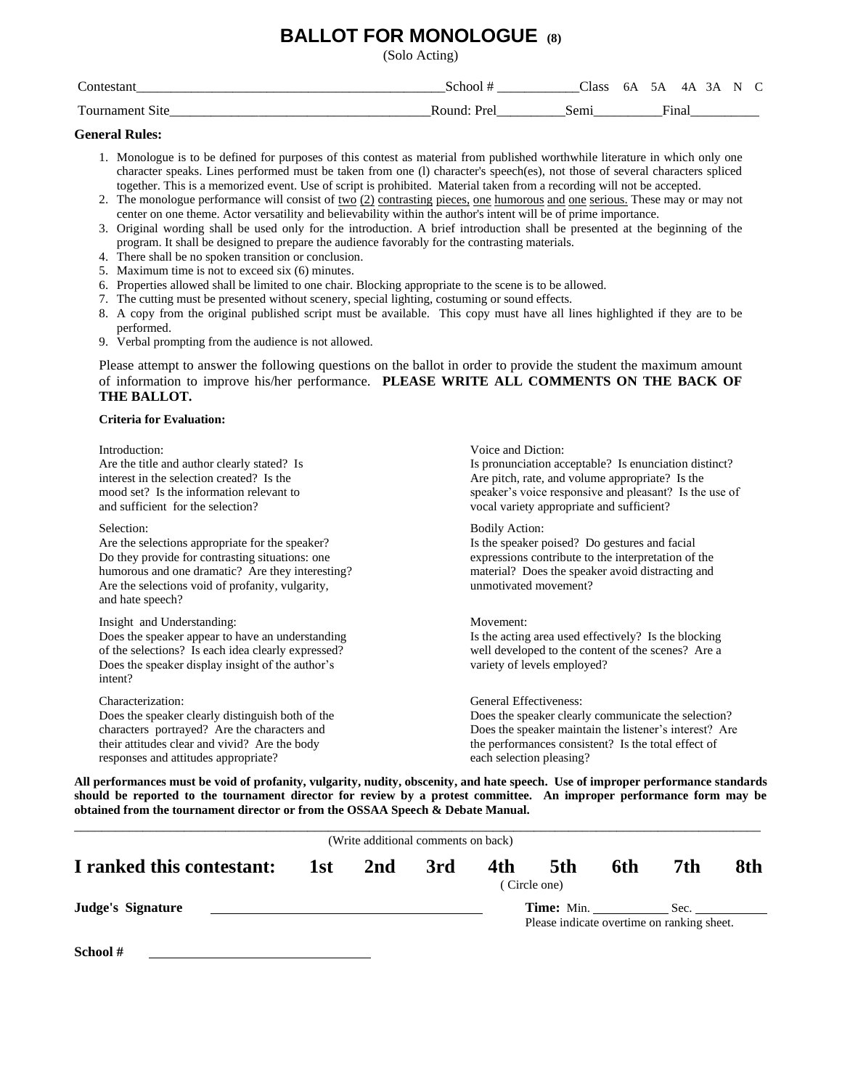### **BALLOT FOR MONOLOGUE (8)**

(Solo Acting)

| $\sim$<br>_________ |                 | Llass | 07 | . .          | <u>. ப</u><br>TZ : | ٠A | N     |  |
|---------------------|-----------------|-------|----|--------------|--------------------|----|-------|--|
| m<br>$\Omega$       | – R∩⊔r –<br>--- | ມເ    |    | $\mathbf{r}$ | ∙ʻına              |    | _____ |  |

#### **General Rules:**

- 1. Monologue is to be defined for purposes of this contest as material from published worthwhile literature in which only one character speaks. Lines performed must be taken from one (l) character's speech(es), not those of several characters spliced together. This is a memorized event. Use of script is prohibited. Material taken from a recording will not be accepted.
- 2. The monologue performance will consist of two  $(2)$  contrasting pieces, one humorous and one serious. These may or may not center on one theme. Actor versatility and believability within the author's intent will be of prime importance.
- 3. Original wording shall be used only for the introduction. A brief introduction shall be presented at the beginning of the program. It shall be designed to prepare the audience favorably for the contrasting materials.
- 4. There shall be no spoken transition or conclusion.
- 5. Maximum time is not to exceed six (6) minutes.
- 6. Properties allowed shall be limited to one chair. Blocking appropriate to the scene is to be allowed.
- 7. The cutting must be presented without scenery, special lighting, costuming or sound effects.
- 8. A copy from the original published script must be available. This copy must have all lines highlighted if they are to be performed.
- 9. Verbal prompting from the audience is not allowed.

Please attempt to answer the following questions on the ballot in order to provide the student the maximum amount of information to improve his/her performance. **PLEASE WRITE ALL COMMENTS ON THE BACK OF THE BALLOT.**

#### **Criteria for Evaluation:**

| Introduction:                                                                                                                                                                                                                                | Voice and Diction:                                                                                                                                                                                         |
|----------------------------------------------------------------------------------------------------------------------------------------------------------------------------------------------------------------------------------------------|------------------------------------------------------------------------------------------------------------------------------------------------------------------------------------------------------------|
| Are the title and author clearly stated? Is                                                                                                                                                                                                  | Is pronunciation acceptable? Is enunciation distinct?                                                                                                                                                      |
| interest in the selection created? Is the                                                                                                                                                                                                    | Are pitch, rate, and volume appropriate? Is the                                                                                                                                                            |
| mood set? Is the information relevant to                                                                                                                                                                                                     | speaker's voice responsive and pleasant? Is the use of                                                                                                                                                     |
| and sufficient for the selection?                                                                                                                                                                                                            | vocal variety appropriate and sufficient?                                                                                                                                                                  |
| Selection:<br>Are the selections appropriate for the speaker?<br>Do they provide for contrasting situations: one<br>humorous and one dramatic? Are they interesting?<br>Are the selections void of profanity, vulgarity,<br>and hate speech? | <b>Bodily Action:</b><br>Is the speaker poised? Do gestures and facial<br>expressions contribute to the interpretation of the<br>material? Does the speaker avoid distracting and<br>unmotivated movement? |
| Insight and Understanding:<br>Does the speaker appear to have an understanding<br>of the selections? Is each idea clearly expressed?<br>Does the speaker display insight of the author's<br>intent?                                          | Movement:<br>Is the acting area used effectively? Is the blocking<br>well developed to the content of the scenes? Are a<br>variety of levels employed?                                                     |
| Characterization:                                                                                                                                                                                                                            | General Effectiveness:                                                                                                                                                                                     |
| Does the speaker clearly distinguish both of the                                                                                                                                                                                             | Does the speaker clearly communicate the selection?                                                                                                                                                        |
| characters portrayed? Are the characters and                                                                                                                                                                                                 | Does the speaker maintain the listener's interest? Are                                                                                                                                                     |
| their attitudes clear and vivid? Are the body                                                                                                                                                                                                | the performances consistent? Is the total effect of                                                                                                                                                        |
| responses and attitudes appropriate?                                                                                                                                                                                                         | each selection pleasing?                                                                                                                                                                                   |

|                           |     | (Write additional comments on back) |     |     |                                                                 |     |      |     |
|---------------------------|-----|-------------------------------------|-----|-----|-----------------------------------------------------------------|-----|------|-----|
| I ranked this contestant: | 1st | 2nd                                 | 3rd | 4th | 5th<br>(Circle one)                                             | 6th | 7th  | 8th |
| <b>Judge's Signature</b>  |     |                                     |     |     | <b>Time:</b> Min.<br>Please indicate overtime on ranking sheet. |     | Sec. |     |
| School#                   |     |                                     |     |     |                                                                 |     |      |     |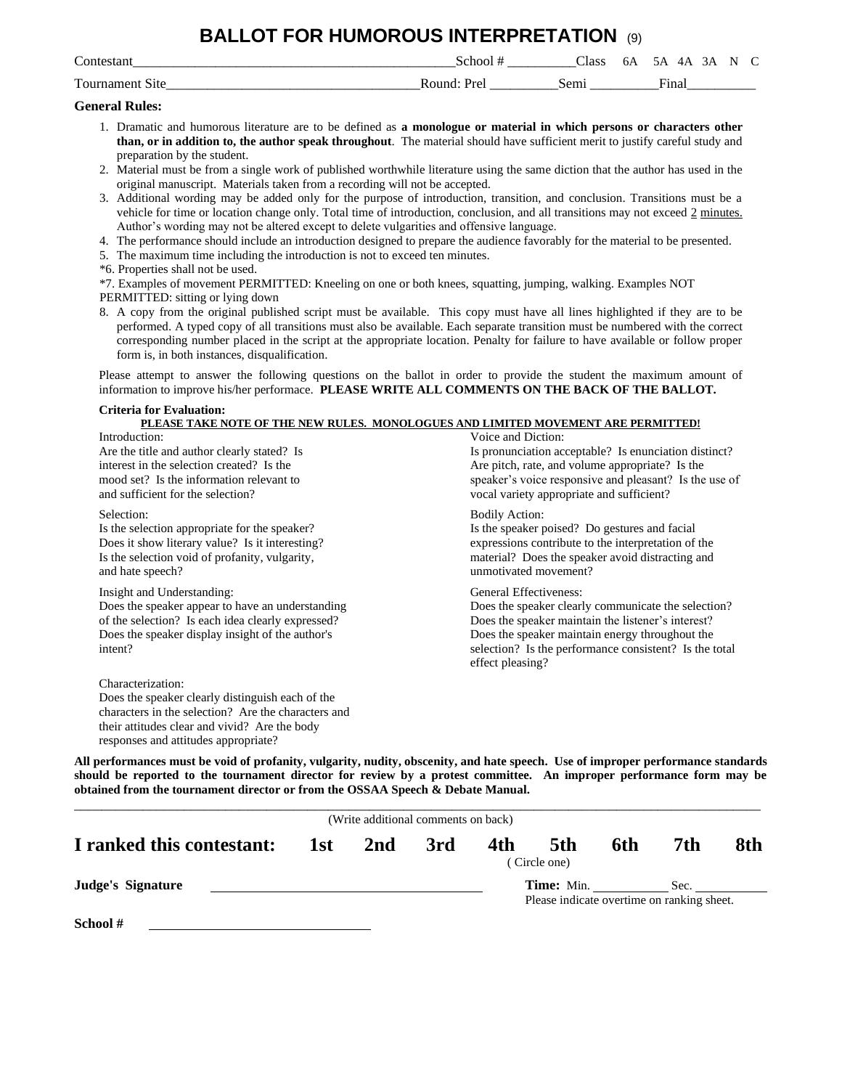### **BALLOT FOR HUMOROUS INTERPRETATION** (9)

| $\sim$<br>n.                        | 11<br>_____           | $\sim$<br>Class | Οŀ<br>$\sim$ $\sim$ | $\mu$<br>$\sim$                  | N     |
|-------------------------------------|-----------------------|-----------------|---------------------|----------------------------------|-------|
| --<br>$\bigcap$<br>________<br>____ | $-111$<br>___________ | Ser             |                     | ÷-<br>11 n 9<br>па.<br>_________ | _____ |

#### **General Rules:**

- 1. Dramatic and humorous literature are to be defined as **a monologue or material in which persons or characters other than, or in addition to, the author speak throughout**. The material should have sufficient merit to justify careful study and preparation by the student.
- 2. Material must be from a single work of published worthwhile literature using the same diction that the author has used in the original manuscript. Materials taken from a recording will not be accepted.
- 3. Additional wording may be added only for the purpose of introduction, transition, and conclusion. Transitions must be a vehicle for time or location change only. Total time of introduction, conclusion, and all transitions may not exceed  $2$  minutes. Author's wording may not be altered except to delete vulgarities and offensive language.
- 4. The performance should include an introduction designed to prepare the audience favorably for the material to be presented.
- 5. The maximum time including the introduction is not to exceed ten minutes.
- \*6. Properties shall not be used.

\*7. Examples of movement PERMITTED: Kneeling on one or both knees, squatting, jumping, walking. Examples NOT

- PERMITTED: sitting or lying down
- 8. A copy from the original published script must be available. This copy must have all lines highlighted if they are to be performed. A typed copy of all transitions must also be available. Each separate transition must be numbered with the correct corresponding number placed in the script at the appropriate location. Penalty for failure to have available or follow proper form is, in both instances, disqualification.

Please attempt to answer the following questions on the ballot in order to provide the student the maximum amount of information to improve his/her performace. **PLEASE WRITE ALL COMMENTS ON THE BACK OF THE BALLOT.**

#### **Criteria for Evaluation:**

| PLEASE TAKE NOTE OF THE NEW RULES. MONOLOGUES AND LIMITED MOVEMENT ARE PERMITTED! |                                                        |
|-----------------------------------------------------------------------------------|--------------------------------------------------------|
| Introduction:                                                                     | Voice and Diction:                                     |
| Are the title and author clearly stated? Is                                       | Is pronunciation acceptable? Is enunciation distinct?  |
| interest in the selection created? Is the                                         | Are pitch, rate, and volume appropriate? Is the        |
| mood set? Is the information relevant to                                          | speaker's voice responsive and pleasant? Is the use of |
| and sufficient for the selection?                                                 | vocal variety appropriate and sufficient?              |
| Selection:                                                                        | <b>Bodily Action:</b>                                  |
| Is the selection appropriate for the speaker?                                     | Is the speaker poised? Do gestures and facial          |
| Does it show literary value? Is it interesting?                                   | expressions contribute to the interpretation of the    |
| Is the selection void of profanity, vulgarity,                                    | material? Does the speaker avoid distracting and       |
| and hate speech?                                                                  | unmotivated movement?                                  |
| Insight and Understanding:                                                        | General Effectiveness:                                 |
| Does the speaker appear to have an understanding                                  | Does the speaker clearly communicate the selection?    |
| of the selection? Is each idea clearly expressed?                                 | Does the speaker maintain the listener's interest?     |
| Does the speaker display insight of the author's                                  | Does the speaker maintain energy throughout the        |
| intent?                                                                           | selection? Is the performance consistent? Is the total |
|                                                                                   | effect pleasing?                                       |
| Characterization:                                                                 |                                                        |
| Does the speaker clearly distinguish each of the                                  |                                                        |

characters in the selection? Are the characters and their attitudes clear and vivid? Are the body responses and attitudes appropriate?

|                           |     | (Write additional comments on back) |     |     |                     |     |                                                    |     |
|---------------------------|-----|-------------------------------------|-----|-----|---------------------|-----|----------------------------------------------------|-----|
| I ranked this contestant: | 1st | 2nd                                 | 3rd | 4th | 5th<br>(Circle one) | 6th | 7th                                                | 8th |
| <b>Judge's Signature</b>  |     |                                     |     |     |                     |     | Sec.<br>Please indicate overtime on ranking sheet. |     |
| School #                  |     |                                     |     |     |                     |     |                                                    |     |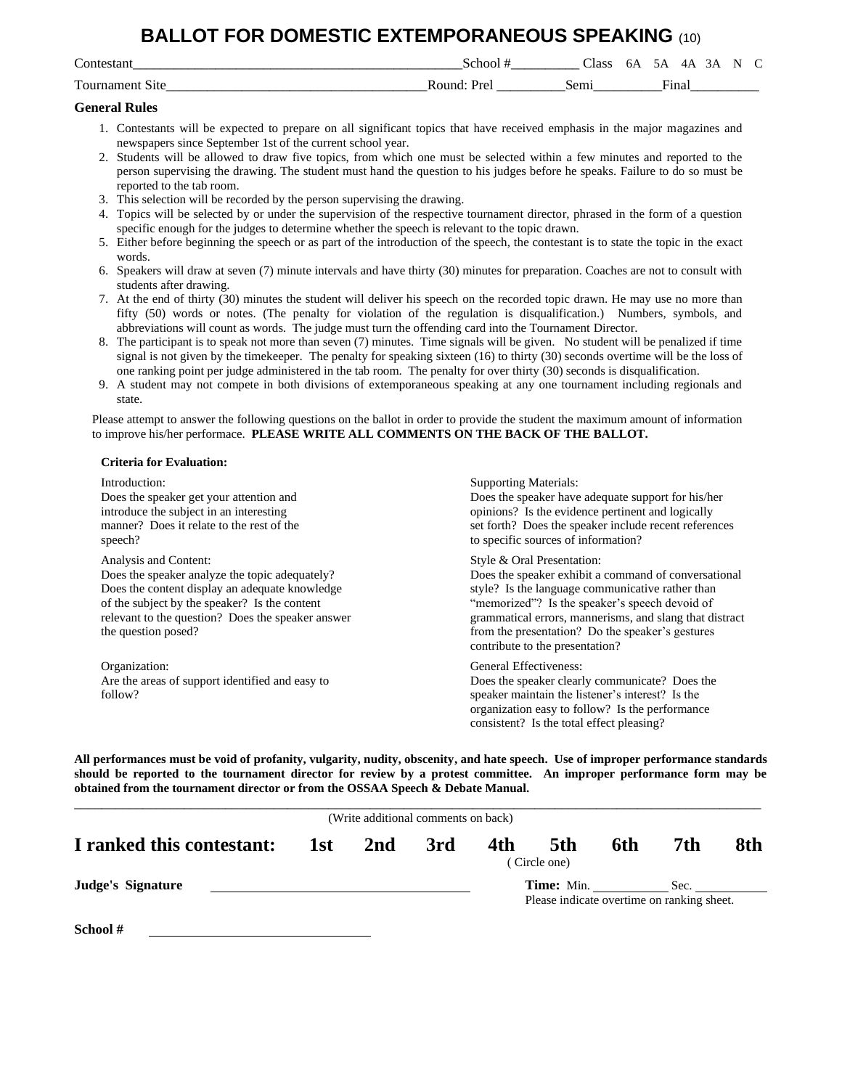## **BALLOT FOR DOMESTIC EXTEMPORANEOUS SPEAKING** (10)

| $\sim$<br>$\sim$ r | _______                 | lace                                                                                                                                                                                                                               |                                    |  |  |
|--------------------|-------------------------|------------------------------------------------------------------------------------------------------------------------------------------------------------------------------------------------------------------------------------|------------------------------------|--|--|
| --<br>1011         | $O$ <sub>11</sub> n $C$ | and the state of the state of the state of the state of the state of the state of the state of the state of the state of the state of the state of the state of the state of the state of the state of the state of the state<br>ຼ | $\overline{\phantom{a}}$<br>ലിലെ സ |  |  |

#### **General Rules**

- 1. Contestants will be expected to prepare on all significant topics that have received emphasis in the major magazines and newspapers since September 1st of the current school year.
- 2. Students will be allowed to draw five topics, from which one must be selected within a few minutes and reported to the person supervising the drawing. The student must hand the question to his judges before he speaks. Failure to do so must be reported to the tab room.
- 3. This selection will be recorded by the person supervising the drawing.
- 4. Topics will be selected by or under the supervision of the respective tournament director, phrased in the form of a question specific enough for the judges to determine whether the speech is relevant to the topic drawn.
- 5. Either before beginning the speech or as part of the introduction of the speech, the contestant is to state the topic in the exact words.
- 6. Speakers will draw at seven (7) minute intervals and have thirty (30) minutes for preparation. Coaches are not to consult with students after drawing.
- 7. At the end of thirty (30) minutes the student will deliver his speech on the recorded topic drawn. He may use no more than fifty (50) words or notes. (The penalty for violation of the regulation is disqualification.) Numbers, symbols, and abbreviations will count as words. The judge must turn the offending card into the Tournament Director.
- 8. The participant is to speak not more than seven (7) minutes. Time signals will be given. No student will be penalized if time signal is not given by the timekeeper. The penalty for speaking sixteen (16) to thirty (30) seconds overtime will be the loss of one ranking point per judge administered in the tab room. The penalty for over thirty (30) seconds is disqualification.
- 9. A student may not compete in both divisions of extemporaneous speaking at any one tournament including regionals and state.

Please attempt to answer the following questions on the ballot in order to provide the student the maximum amount of information to improve his/her performace. **PLEASE WRITE ALL COMMENTS ON THE BACK OF THE BALLOT.**

#### **Criteria for Evaluation:**

| Introduction:<br>Does the speaker get your attention and<br>introduce the subject in an interesting<br>manner? Does it relate to the rest of the<br>speech?                                                                                            | <b>Supporting Materials:</b><br>Does the speaker have adequate support for his/her<br>opinions? Is the evidence pertinent and logically<br>set forth? Does the speaker include recent references<br>to specific sources of information?                                                                                                    |
|--------------------------------------------------------------------------------------------------------------------------------------------------------------------------------------------------------------------------------------------------------|--------------------------------------------------------------------------------------------------------------------------------------------------------------------------------------------------------------------------------------------------------------------------------------------------------------------------------------------|
| Analysis and Content:<br>Does the speaker analyze the topic adequately?<br>Does the content display an adequate knowledge<br>of the subject by the speaker? Is the content<br>relevant to the question? Does the speaker answer<br>the question posed? | Style & Oral Presentation:<br>Does the speaker exhibit a command of conversational<br>style? Is the language communicative rather than<br>"memorized"? Is the speaker's speech devoid of<br>grammatical errors, mannerisms, and slang that distract<br>from the presentation? Do the speaker's gestures<br>contribute to the presentation? |
| Organization:<br>Are the areas of support identified and easy to<br>follow?                                                                                                                                                                            | General Effectiveness:<br>Does the speaker clearly communicate? Does the<br>speaker maintain the listener's interest? Is the<br>organization easy to follow? Is the performance<br>consistent? Is the total effect pleasing?                                                                                                               |

| (Write additional comments on back) |     |                 |     |     |                     |     |                                                    |     |
|-------------------------------------|-----|-----------------|-----|-----|---------------------|-----|----------------------------------------------------|-----|
| I ranked this contestant:           | 1st | 2 <sub>nd</sub> | 3rd | 4th | 5th<br>(Circle one) | 6th | 7th                                                | 8th |
| Judge's Signature                   |     |                 |     |     | <b>Time:</b> Min.   |     | Sec.<br>Please indicate overtime on ranking sheet. |     |
| School #                            |     |                 |     |     |                     |     |                                                    |     |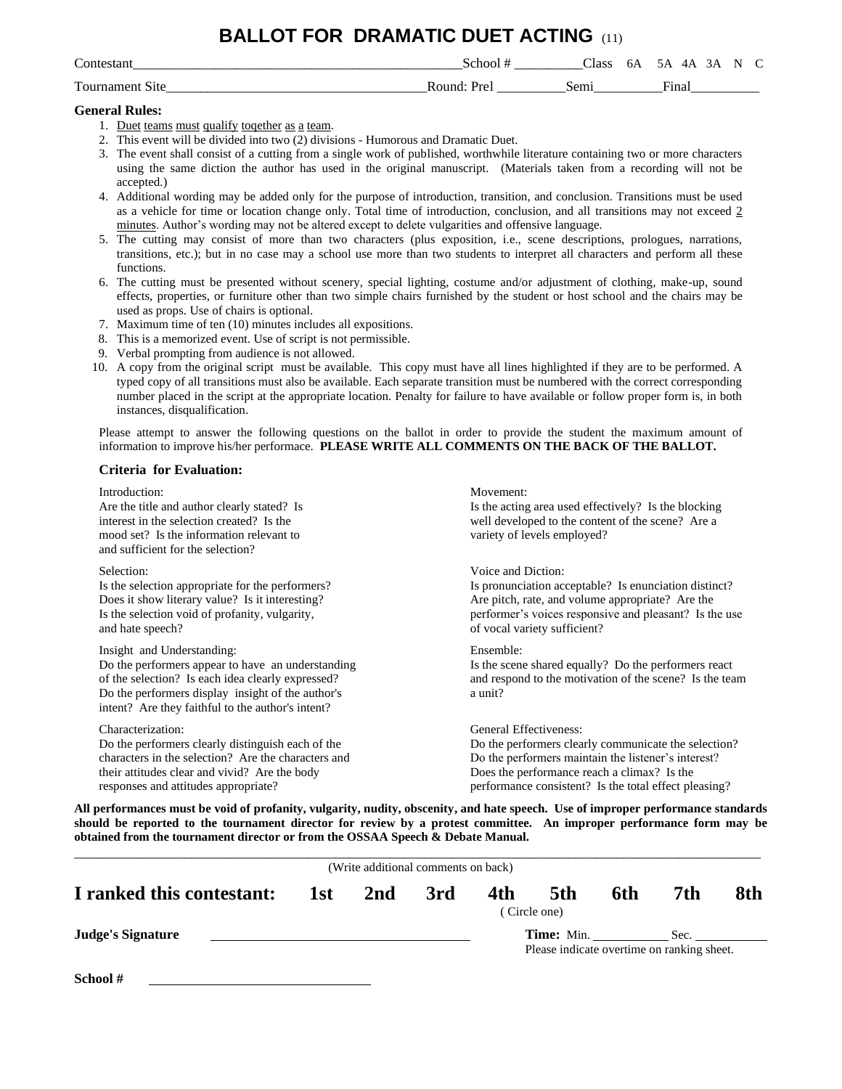### **BALLOT FOR DRAMATIC DUET ACTING** (11)

| Contes                          | $\Delta$ hor      | Llass     | OΑ | ۵.<br>LΔ<br>$\overline{\phantom{a}}$<br>. . | - |
|---------------------------------|-------------------|-----------|----|---------------------------------------------|---|
| $\mathbf{r}$<br>$\Omega$<br>11۰ | ≀∩חות ?<br>l Jean | $be^{rr}$ |    | ÷-<br><b>Hite</b><br>пна                    |   |

#### **General Rules:**

- 1. Duet teams must qualify together as a team.
- 2. This event will be divided into two (2) divisions Humorous and Dramatic Duet.
- 3. The event shall consist of a cutting from a single work of published, worthwhile literature containing two or more characters using the same diction the author has used in the original manuscript. (Materials taken from a recording will not be accepted.)
- 4. Additional wording may be added only for the purpose of introduction, transition, and conclusion. Transitions must be used as a vehicle for time or location change only. Total time of introduction, conclusion, and all transitions may not exceed 2 minutes. Author's wording may not be altered except to delete vulgarities and offensive language.
- 5. The cutting may consist of more than two characters (plus exposition, i.e., scene descriptions, prologues, narrations, transitions, etc.); but in no case may a school use more than two students to interpret all characters and perform all these functions.
- 6. The cutting must be presented without scenery, special lighting, costume and/or adjustment of clothing, make-up, sound effects, properties, or furniture other than two simple chairs furnished by the student or host school and the chairs may be used as props. Use of chairs is optional.
- 7. Maximum time of ten (10) minutes includes all expositions.
- 8. This is a memorized event. Use of script is not permissible.
- 9. Verbal prompting from audience is not allowed.
- 10. A copy from the original script must be available. This copy must have all lines highlighted if they are to be performed. A typed copy of all transitions must also be available. Each separate transition must be numbered with the correct corresponding number placed in the script at the appropriate location. Penalty for failure to have available or follow proper form is, in both instances, disqualification.

Please attempt to answer the following questions on the ballot in order to provide the student the maximum amount of information to improve his/her performace. **PLEASE WRITE ALL COMMENTS ON THE BACK OF THE BALLOT.**

#### **Criteria for Evaluation:**

| Introduction:<br>Are the title and author clearly stated? Is<br>interest in the selection created? Is the<br>mood set? Is the information relevant to<br>and sufficient for the selection?                                                     | Movement:<br>Is the acting area used effectively? Is the blocking<br>well developed to the content of the scene? Are a<br>variety of levels employed? |
|------------------------------------------------------------------------------------------------------------------------------------------------------------------------------------------------------------------------------------------------|-------------------------------------------------------------------------------------------------------------------------------------------------------|
| Selection:                                                                                                                                                                                                                                     | Voice and Diction:                                                                                                                                    |
| Is the selection appropriate for the performers?                                                                                                                                                                                               | Is pronunciation acceptable? Is enunciation distinct?                                                                                                 |
| Does it show literary value? Is it interesting?                                                                                                                                                                                                | Are pitch, rate, and volume appropriate? Are the                                                                                                      |
| Is the selection void of profanity, vulgarity,                                                                                                                                                                                                 | performer's voices responsive and pleasant? Is the use                                                                                                |
| and hate speech?                                                                                                                                                                                                                               | of vocal variety sufficient?                                                                                                                          |
| Insight and Understanding:<br>Do the performers appear to have an understanding<br>of the selection? Is each idea clearly expressed?<br>Do the performers display insight of the author's<br>intent? Are they faithful to the author's intent? | Ensemble:<br>Is the scene shared equally? Do the performers react<br>and respond to the motivation of the scene? Is the team<br>a unit?               |
| Characterization:                                                                                                                                                                                                                              | General Effectiveness:                                                                                                                                |
| Do the performers clearly distinguish each of the                                                                                                                                                                                              | Do the performers clearly communicate the selection?                                                                                                  |
| characters in the selection? Are the characters and                                                                                                                                                                                            | Do the performers maintain the listener's interest?                                                                                                   |
| their attitudes clear and vivid? Are the body                                                                                                                                                                                                  | Does the performance reach a climax? Is the                                                                                                           |
| responses and attitudes appropriate?                                                                                                                                                                                                           | performance consistent? Is the total effect pleasing?                                                                                                 |

|                           |     | (Write additional comments on back) |     |     |                                                                 |     |      |     |
|---------------------------|-----|-------------------------------------|-----|-----|-----------------------------------------------------------------|-----|------|-----|
| I ranked this contestant: | 1st | 2nd                                 | 3rd | 4th | 5th<br>(Circle one)                                             | 6th | 7th  | 8th |
| <b>Judge's Signature</b>  |     |                                     |     |     | <b>Time:</b> Min.<br>Please indicate overtime on ranking sheet. |     | Sec. |     |
| School #                  |     |                                     |     |     |                                                                 |     |      |     |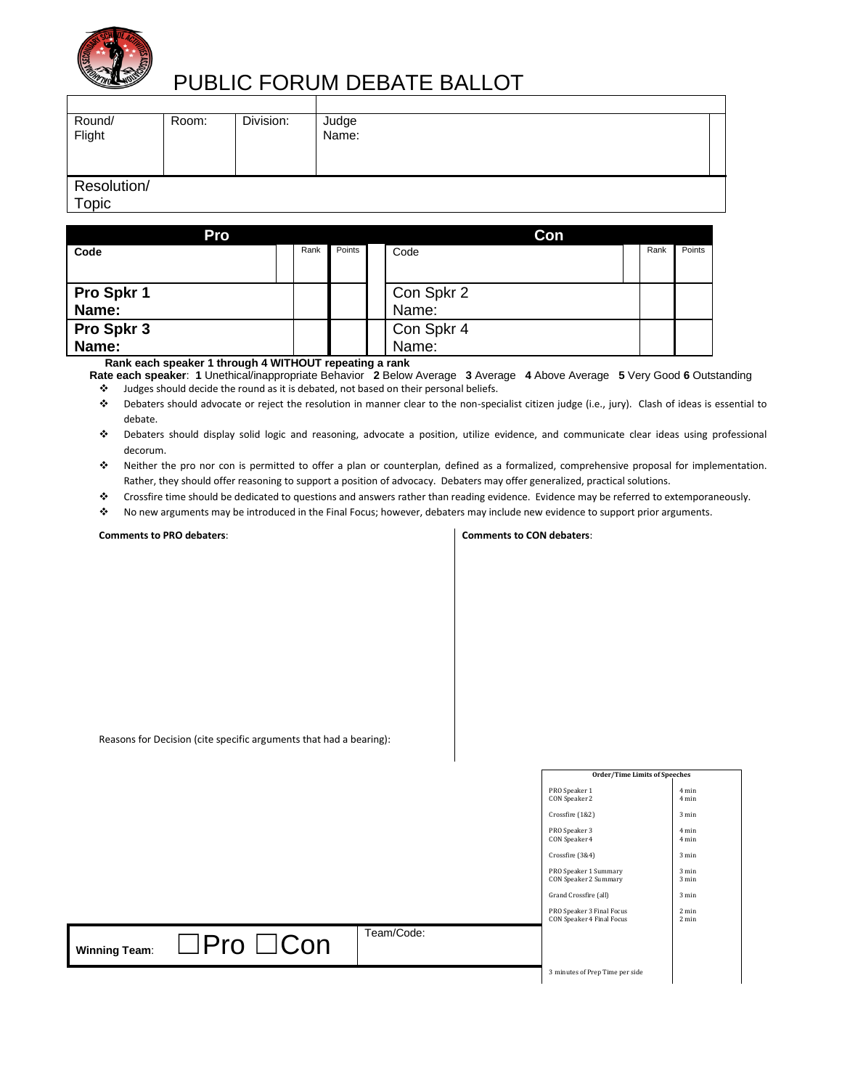

# PUBLIC FORUM DEBATE BALLOT

| Round/<br>Flight     | Room: | Division: | Judge<br>Name: |  |
|----------------------|-------|-----------|----------------|--|
| Resolution/<br>Topic |       |           |                |  |

| Pro        |      |        | Con        |      |        |
|------------|------|--------|------------|------|--------|
| Code       | Rank | Points | Code       | Rank | Points |
|            |      |        |            |      |        |
| Pro Spkr 1 |      |        | Con Spkr 2 |      |        |
| Name:      |      |        | Name:      |      |        |
| Pro Spkr 3 |      |        | Con Spkr 4 |      |        |
| Name:      |      |        | Name:      |      |        |

 **Rank each speaker 1 through 4 WITHOUT repeating a rank**

**Rate each speaker**: **1** Unethical/inappropriate Behavior **2** Below Average **3** Average **4** Above Average **5** Very Good **6** Outstanding ❖ Judges should decide the round as it is debated, not based on their personal beliefs.

- ❖ Debaters should advocate or reject the resolution in manner clear to the non-specialist citizen judge (i.e., jury). Clash of ideas is essential to debate.
- ❖ Debaters should display solid logic and reasoning, advocate a position, utilize evidence, and communicate clear ideas using professional decorum.
- ❖ Neither the pro nor con is permitted to offer a plan or counterplan, defined as a formalized, comprehensive proposal for implementation. Rather, they should offer reasoning to support a position of advocacy. Debaters may offer generalized, practical solutions.
- ❖ Crossfire time should be dedicated to questions and answers rather than reading evidence. Evidence may be referred to extemporaneously.
- ❖ No new arguments may be introduced in the Final Focus; however, debaters may include new evidence to support prior arguments.

**Comments to PRO debaters**:

#### **Comments to CON debaters**:

|  | Reasons for Decision (cite specific arguments that had a bearing): |  |
|--|--------------------------------------------------------------------|--|
|--|--------------------------------------------------------------------|--|

|                                               |            | <b>Order/Time Limits of Speeches</b>                   |                                    |  |
|-----------------------------------------------|------------|--------------------------------------------------------|------------------------------------|--|
|                                               |            | PRO Speaker 1<br>CON Speaker 2                         | 4 min<br>4 min                     |  |
|                                               |            | Crossfire (1&2)                                        | 3 min                              |  |
|                                               |            | PRO Speaker 3<br>CON Speaker 4                         | 4 min<br>4 min                     |  |
|                                               |            | Crossfire (3&4)                                        | 3 min                              |  |
|                                               |            | PRO Speaker 1 Summary<br>CON Speaker 2 Summary         | 3 min<br>3 min                     |  |
|                                               |            | Grand Crossfire (all)                                  | 3 min                              |  |
|                                               |            | PRO Speaker 3 Final Focus<br>CON Speaker 4 Final Focus | $2 \text{ min}$<br>$2 \text{ min}$ |  |
| $\Box$ Pro $\Box$ Con<br><b>Winning Team:</b> | Team/Code: |                                                        |                                    |  |
|                                               |            | 3 minutes of Prep Time per side                        |                                    |  |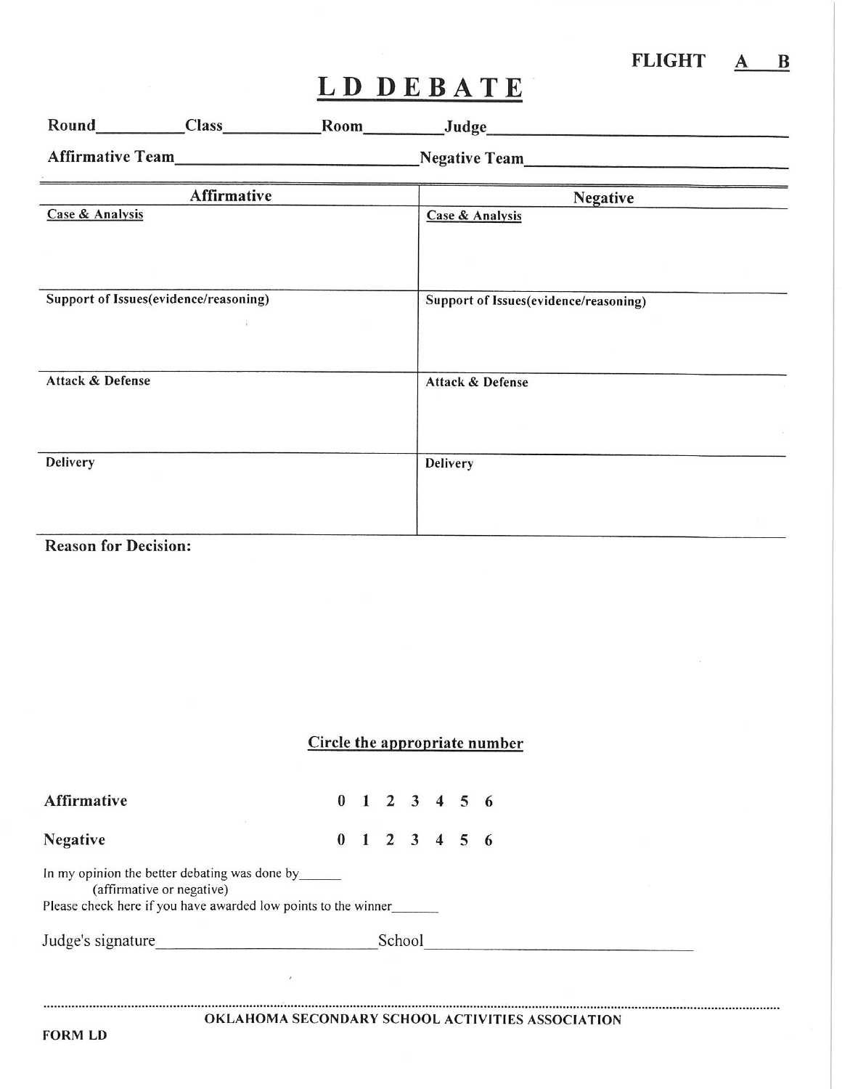| <b>FLIGHT</b> |  |
|---------------|--|
|               |  |

|                                       |                    | Negative Team                         |
|---------------------------------------|--------------------|---------------------------------------|
|                                       | <b>Affirmative</b> | <b>Negative</b>                       |
| Case & Analysis                       |                    | <b>Case &amp; Analysis</b>            |
|                                       |                    |                                       |
|                                       |                    |                                       |
|                                       |                    |                                       |
| Support of Issues(evidence/reasoning) |                    | Support of Issues(evidence/reasoning) |
|                                       |                    |                                       |
|                                       |                    |                                       |
| Attack & Defense                      |                    | Attack & Defense                      |
|                                       |                    |                                       |
|                                       |                    |                                       |
|                                       |                    |                                       |
| <b>Delivery</b>                       |                    | <b>Delivery</b>                       |
|                                       |                    |                                       |
|                                       |                    |                                       |
|                                       |                    |                                       |
| <b>Reason for Decision:</b>           |                    |                                       |
|                                       |                    |                                       |
|                                       |                    |                                       |
|                                       |                    |                                       |

### Circle the appropriate number

| Affirmative                                                                                                                                  |  |  | $0$ 1 2 3 4 5 6 |  |  |  |  |  |  |
|----------------------------------------------------------------------------------------------------------------------------------------------|--|--|-----------------|--|--|--|--|--|--|
| <b>Negative</b>                                                                                                                              |  |  | $0$ 1 2 3 4 5 6 |  |  |  |  |  |  |
| In my opinion the better debating was done by<br>(affirmative or negative)<br>Please check here if you have awarded low points to the winner |  |  |                 |  |  |  |  |  |  |
| Judge's signature                                                                                                                            |  |  | School          |  |  |  |  |  |  |
| $\lambda$                                                                                                                                    |  |  |                 |  |  |  |  |  |  |
| OKLAHOMA SECONDARY SCHOOL ACTIVITIES ASSOCIATION                                                                                             |  |  |                 |  |  |  |  |  |  |

**FORM LD**